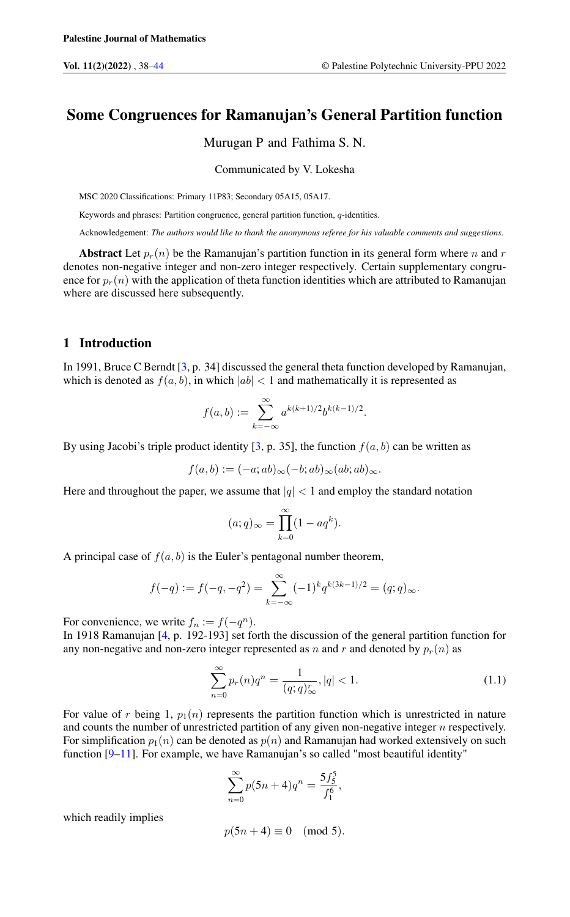# Some Congruences for Ramanujan's General Partition function

Murugan P and Fathima S. N.

Communicated by V. Lokesha

MSC 2020 Classifications: Primary 11P83; Secondary 05A15, 05A17.

Keywords and phrases: Partition congruence, general partition function, q-identities.

Acknowledgement: *The authors would like to thank the anonymous referee for his valuable comments and suggestions.*

Abstract Let  $p_r(n)$  be the Ramanujan's partition function in its general form where n and r denotes non-negative integer and non-zero integer respectively. Certain supplementary congruence for  $p_r(n)$  with the application of theta function identities which are attributed to Ramanujan where are discussed here subsequently.

### 1 Introduction

In 1991, Bruce C Berndt [\[3,](#page-5-1) p. 34] discussed the general theta function developed by Ramanujan, which is denoted as  $f(a, b)$ , in which  $|ab| < 1$  and mathematically it is represented as

$$
f(a,b) := \sum_{k=-\infty}^{\infty} a^{k(k+1)/2} b^{k(k-1)/2}.
$$

By using Jacobi's triple product identity [\[3,](#page-5-1) p. 35], the function  $f(a, b)$  can be written as

$$
f(a,b):=(-a;ab)_{\infty}(-b;ab)_{\infty}(ab;ab)_{\infty}.
$$

Here and throughout the paper, we assume that  $|q| < 1$  and employ the standard notation

$$
(a;q)_{\infty} = \prod_{k=0}^{\infty} (1 - aq^k).
$$

A principal case of  $f(a, b)$  is the Euler's pentagonal number theorem,

$$
f(-q) := f(-q, -q^2) = \sum_{k=-\infty}^{\infty} (-1)^k q^{k(3k-1)/2} = (q, q)_{\infty}.
$$

For convenience, we write  $f_n := f(-q^n)$ .

In 1918 Ramanujan [\[4,](#page-5-2) p. 192-193] set forth the discussion of the general partition function for any non-negative and non-zero integer represented as n and r and denoted by  $p_r(n)$  as

<span id="page-0-0"></span>
$$
\sum_{n=0}^{\infty} p_r(n) q^n = \frac{1}{(q;q)_\infty^r}, |q| < 1. \tag{1.1}
$$

For value of r being 1,  $p_1(n)$  represents the partition function which is unrestricted in nature and counts the number of unrestricted partition of any given non-negative integer  $n$  respectively. For simplification  $p_1(n)$  can be denoted as  $p(n)$  and Ramanujan had worked extensively on such function [\[9](#page-5-3)[–11\]](#page-5-4). For example, we have Ramanujan's so called "most beautiful identity"

$$
\sum_{n=0}^{\infty} p(5n+4)q^n = \frac{5f_5^5}{f_1^6},
$$

which readily implies

$$
p(5n+4) \equiv 0 \pmod{5}.
$$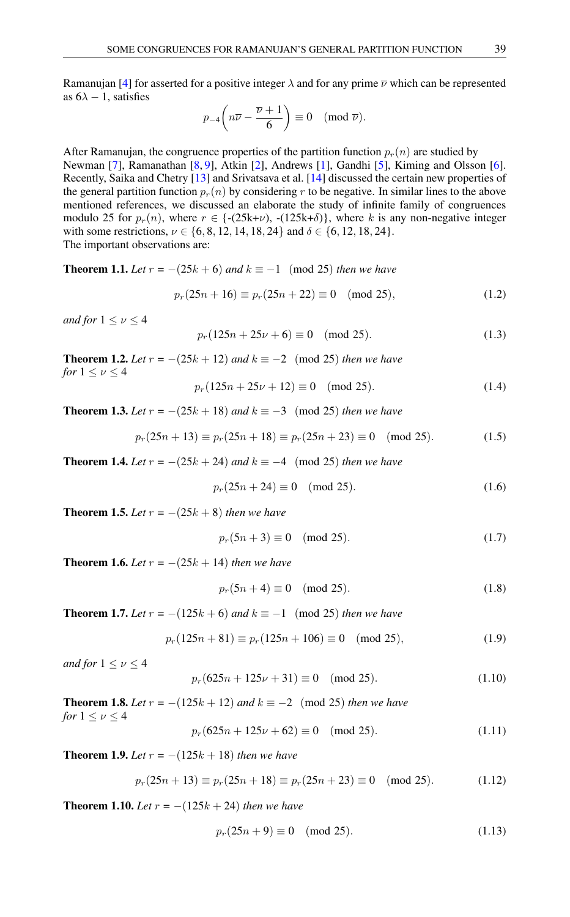Ramanujan [\[4\]](#page-5-2) for asserted for a positive integer  $\lambda$  and for any prime  $\overline{\nu}$  which can be represented as  $6\lambda - 1$ , satisfies

$$
p_{-4}\left(n\overline{\nu}-\frac{\overline{\nu}+1}{6}\right)\equiv 0\pmod{\overline{\nu}}.
$$

After Ramanujan, the congruence properties of the partition function  $p_r(n)$  are studied by Newman [\[7\]](#page-5-5), Ramanathan [\[8,](#page-5-6) [9\]](#page-5-3), Atkin [\[2\]](#page-5-7), Andrews [\[1\]](#page-5-8), Gandhi [\[5\]](#page-5-9), Kiming and Olsson [\[6\]](#page-5-10). Recently, Saika and Chetry [\[13\]](#page-5-11) and Srivatsava et al. [\[14\]](#page-5-12) discussed the certain new properties of the general partition function  $p_r(n)$  by considering r to be negative. In similar lines to the above mentioned references, we discussed an elaborate the study of infinite family of congruences modulo 25 for  $p_r(n)$ , where  $r \in \{-25k+\nu\}$ ,  $-(125k+\delta)$ , where k is any non-negative integer with some restrictions,  $\nu \in \{6, 8, 12, 14, 18, 24\}$  and  $\delta \in \{6, 12, 18, 24\}$ . The important observations are:

<span id="page-1-0"></span>**Theorem 1.1.** *Let*  $r = -(25k + 6)$  *and*  $k \equiv -1$  (mod 25) *then we have* 

<span id="page-1-2"></span>
$$
p_r(25n + 16) \equiv p_r(25n + 22) \equiv 0 \pmod{25},\tag{1.2}
$$

*and for*  $1 \leq \nu \leq 4$ 

<span id="page-1-1"></span>
$$
p_r(125n + 25\nu + 6) \equiv 0 \pmod{25}.
$$
 (1.3)

**Theorem 1.2.** *Let*  $r = -(25k + 12)$  *and*  $k \equiv -2$  (mod 25) *then we have for*  $1 \leq \nu \leq 4$ 

$$
p_r(125n + 25\nu + 12) \equiv 0 \pmod{25}.
$$
 (1.4)

**Theorem 1.3.** *Let*  $r = -(25k + 18)$  *and*  $k \equiv -3 \pmod{25}$  *then we have* 

$$
p_r(25n+13) \equiv p_r(25n+18) \equiv p_r(25n+23) \equiv 0 \pmod{25}.
$$
 (1.5)

**Theorem 1.4.** *Let*  $r = -(25k + 24)$  *and*  $k \equiv -4$  (mod 25) *then we have* 

$$
p_r(25n + 24) \equiv 0 \pmod{25}.
$$
 (1.6)

<span id="page-1-3"></span>**Theorem 1.5.** *Let*  $r = -(25k + 8)$  *then we have* 

$$
p_r(5n+3) \equiv 0 \pmod{25}.\tag{1.7}
$$

**Theorem 1.6.** *Let*  $r = -(25k + 14)$  *then we have* 

<span id="page-1-5"></span>
$$
p_r(5n+4) \equiv 0 \pmod{25}.
$$
 (1.8)

<span id="page-1-4"></span>**Theorem 1.7.** *Let*  $r = -(125k + 6)$  *and*  $k \equiv -1$  (mod 25) *then we have* 

<span id="page-1-6"></span>
$$
p_r(125n + 81) \equiv p_r(125n + 106) \equiv 0 \pmod{25},\tag{1.9}
$$

*and for*  $1 \leq \nu \leq 4$ 

$$
p_r(625n + 125\nu + 31) \equiv 0 \pmod{25}.
$$
 (1.10)

**Theorem 1.8.** *Let*  $r = -(125k + 12)$  *and*  $k \equiv -2$  (mod 25) *then we have for*  $1 \leq \nu \leq 4$ 

<span id="page-1-8"></span>
$$
p_r(625n + 125\nu + 62) \equiv 0 \pmod{25}.
$$
 (1.11)

<span id="page-1-7"></span>**Theorem 1.9.** *Let*  $r = -(125k + 18)$  *then we have* 

$$
p_r(25n+13) \equiv p_r(25n+18) \equiv p_r(25n+23) \equiv 0 \pmod{25}.
$$
 (1.12)

**Theorem 1.10.** *Let*  $r = -(125k + 24)$  *then we have* 

$$
p_r(25n + 9) \equiv 0 \pmod{25}.
$$
 (1.13)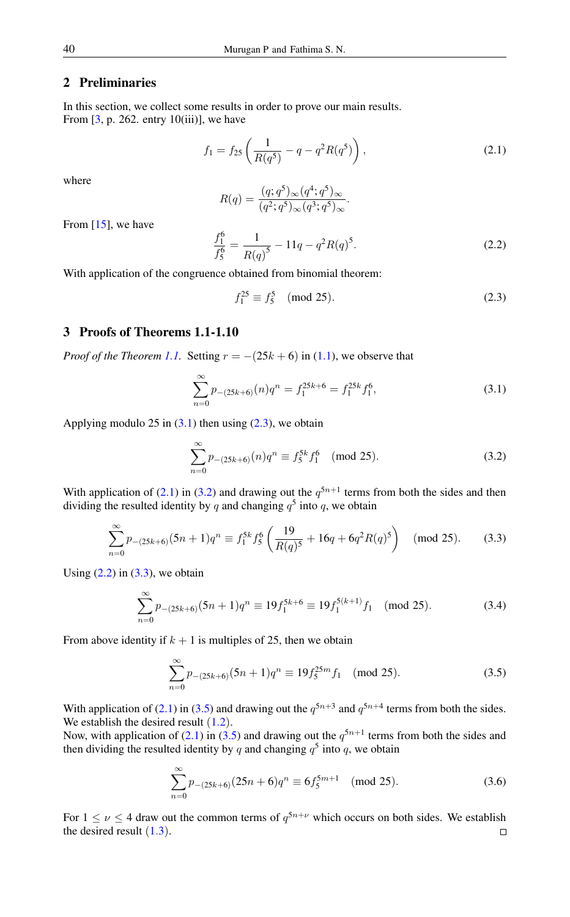# 2 Preliminaries

In this section, we collect some results in order to prove our main results. From  $[3, p. 262$  $[3, p. 262$ . entry 10(iii)], we have

<span id="page-2-2"></span>
$$
f_1 = f_{25} \left( \frac{1}{R(q^5)} - q - q^2 R(q^5) \right), \tag{2.1}
$$

where

$$
R(q) = \frac{(q;q^5)_{\infty} (q^4;q^5)_{\infty}}{(q^2;q^5)_{\infty} (q^3;q^5)_{\infty}}.
$$

From  $[15]$ , we have

<span id="page-2-4"></span>
$$
\frac{f_1^6}{f_5^6} = \frac{1}{R(q)^5} - 11q - q^2 R(q)^5.
$$
\n(2.2)

With application of the congruence obtained from binomial theorem:

<span id="page-2-1"></span><span id="page-2-0"></span>
$$
f_1^{25} \equiv f_5^5 \pmod{25}.
$$
 (2.3)

### 3 Proofs of Theorems 1.1-1.10

*Proof of the Theorem [1.1.](#page-1-0)* Setting  $r = -(25k + 6)$  in [\(1.1\)](#page-0-0), we observe that

$$
\sum_{n=0}^{\infty} p_{-(25k+6)}(n)q^n = f_1^{25k+6} = f_1^{25k} f_1^6,
$$
\n(3.1)

Applying modulo 25 in  $(3.1)$  then using  $(2.3)$ , we obtain

<span id="page-2-5"></span><span id="page-2-3"></span>
$$
\sum_{n=0}^{\infty} p_{-(25k+6)}(n)q^n \equiv f_5^{5k} f_1^6 \pmod{25}.
$$
 (3.2)

With application of [\(2.1\)](#page-2-2) in [\(3.2\)](#page-2-3) and drawing out the  $q^{5n+1}$  terms from both the sides and then dividing the resulted identity by q and changing  $q^5$  into q, we obtain

$$
\sum_{n=0}^{\infty} p_{-(25k+6)}(5n+1)q^n \equiv f_1^{5k} f_5^6 \left(\frac{19}{R(q)^5} + 16q + 6q^2 R(q)^5\right) \pmod{25}.
$$
 (3.3)

Using  $(2.2)$  in  $(3.3)$ , we obtain

<span id="page-2-7"></span>
$$
\sum_{n=0}^{\infty} p_{-(25k+6)}(5n+1)q^n \equiv 19f_1^{5k+6} \equiv 19f_1^{5(k+1)}f_1 \pmod{25}.
$$
 (3.4)

From above identity if  $k + 1$  is multiples of 25, then we obtain

<span id="page-2-6"></span>
$$
\sum_{n=0}^{\infty} p_{-(25k+6)}(5n+1)q^n \equiv 19f_5^{25m}f_1 \pmod{25}.
$$
 (3.5)

With application of [\(2.1\)](#page-2-2) in [\(3.5\)](#page-2-6) and drawing out the  $q^{5n+3}$  and  $q^{5n+4}$  terms from both the sides. We establish the desired result  $(1.2)$  $(1.2)$  $(1.2)$ .

Now, with application of [\(2.1\)](#page-2-2) in [\(3.5\)](#page-2-6) and drawing out the  $q^{5n+1}$  terms from both the sides and then dividing the resulted identity by q and changing  $q^5$  into q, we obtain

$$
\sum_{n=0}^{\infty} p_{-(25k+6)}(25n+6)q^n \equiv 6f_5^{5m+1} \pmod{25}.
$$
 (3.6)

For  $1 \leq \nu \leq 4$  draw out the common terms of  $q^{5n+\nu}$  which occurs on both sides. We establish the desired result  $(1.3)$  $(1.3)$  $(1.3)$ .  $\Box$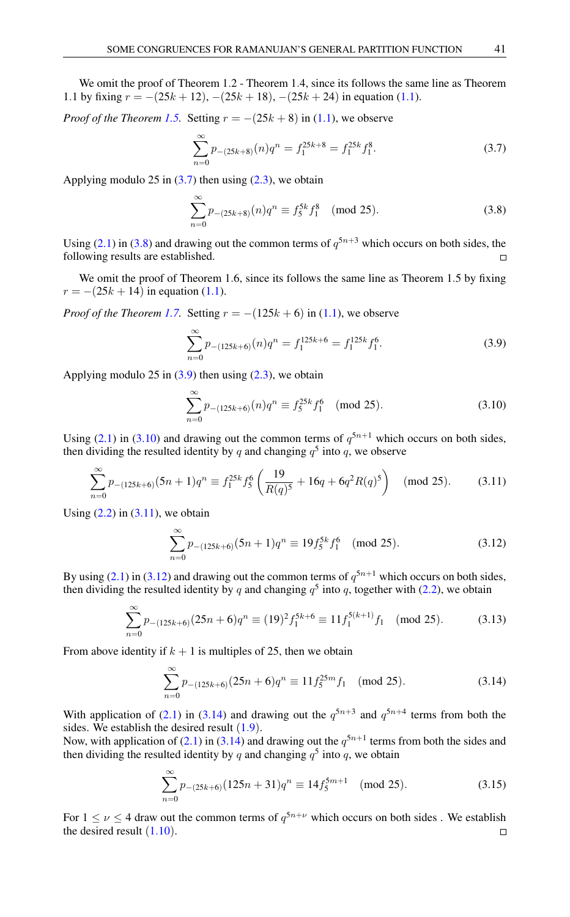We omit the proof of Theorem 1.2 - Theorem 1.4, since its follows the same line as Theorem 1.1 by fixing  $r = -(25k + 12), -(25k + 18), -(25k + 24)$  in equation [\(1.1\)](#page-0-0).

*Proof of the Theorem [1.5.](#page-1-3)* Setting  $r = -(25k + 8)$  in [\(1.1\)](#page-0-0), we observe

<span id="page-3-1"></span><span id="page-3-0"></span>
$$
\sum_{n=0}^{\infty} p_{-(25k+8)}(n)q^n = f_1^{25k+8} = f_1^{25k} f_1^8.
$$
 (3.7)

Applying modulo 25 in  $(3.7)$  then using  $(2.3)$ , we obtain

$$
\sum_{n=0}^{\infty} p_{-(25k+8)}(n)q^n \equiv f_5^{5k} f_1^8 \pmod{25}.
$$
 (3.8)

Using [\(2.1\)](#page-2-2) in [\(3.8\)](#page-3-1) and drawing out the common terms of  $q^{5n+3}$  which occurs on both sides, the following results are established.

We omit the proof of Theorem 1.6, since its follows the same line as Theorem 1.5 by fixing  $r = -(25k + 14)$  in equation [\(1.1\)](#page-0-0).

*Proof of the Theorem [1.7.](#page-1-4)* Setting  $r = -(125k + 6)$  in [\(1.1\)](#page-0-0), we observe

<span id="page-3-2"></span>
$$
\sum_{n=0}^{\infty} p_{-(125k+6)}(n)q^n = f_1^{125k+6} = f_1^{125k} f_1^6.
$$
 (3.9)

Applying modulo 25 in  $(3.9)$  then using  $(2.3)$ , we obtain

<span id="page-3-4"></span><span id="page-3-3"></span>
$$
\sum_{n=0}^{\infty} p_{-(125k+6)}(n)q^n \equiv f_5^{25k} f_1^6 \pmod{25}.
$$
 (3.10)

Using [\(2.1\)](#page-2-2) in [\(3.10\)](#page-3-3) and drawing out the common terms of  $q^{5n+1}$  which occurs on both sides, then dividing the resulted identity by q and changing  $q^5$  into q, we observe

$$
\sum_{n=0}^{\infty} p_{-(125k+6)}(5n+1)q^n \equiv f_1^{25k} f_5^6 \left(\frac{19}{R(q)^5} + 16q + 6q^2 R(q)^5\right) \pmod{25}.
$$
 (3.11)

Using  $(2.2)$  in  $(3.11)$ , we obtain

<span id="page-3-7"></span><span id="page-3-5"></span>
$$
\sum_{n=0}^{\infty} p_{-(125k+6)}(5n+1)q^n \equiv 19f_5^{5k}f_1^6 \pmod{25}.
$$
 (3.12)

By using [\(2.1\)](#page-2-2) in [\(3.12\)](#page-3-5) and drawing out the common terms of  $q^{5n+1}$  which occurs on both sides, then dividing the resulted identity by q and changing  $q^5$  into q, together with [\(2.2\)](#page-2-4), we obtain

$$
\sum_{n=0}^{\infty} p_{-(125k+6)}(25n+6)q^n \equiv (19)^2 f_1^{5k+6} \equiv 11 f_1^{5(k+1)} f_1 \pmod{25}.
$$
 (3.13)

From above identity if  $k + 1$  is multiples of 25, then we obtain

<span id="page-3-6"></span>
$$
\sum_{n=0}^{\infty} p_{-(125k+6)}(25n+6)q^n \equiv 11f_5^{25m}f_1 \pmod{25}.
$$
 (3.14)

With application of [\(2.1\)](#page-2-2) in [\(3.14\)](#page-3-6) and drawing out the  $q^{5n+3}$  and  $q^{5n+4}$  terms from both the sides. We establish the desired result  $(1.9)$  $(1.9)$  $(1.9)$ .

Now, with application of [\(2.1\)](#page-2-2) in [\(3.14\)](#page-3-6) and drawing out the  $q^{5n+1}$  terms from both the sides and then dividing the resulted identity by q and changing  $q^5$  into q, we obtain

$$
\sum_{n=0}^{\infty} p_{-(25k+6)} (125n+31) q^n \equiv 14 f_5^{5m+1} \pmod{25}.
$$
 (3.15)

For  $1 \leq \nu \leq 4$  draw out the common terms of  $q^{5n+\nu}$  which occurs on both sides. We establish the desired result  $(1.10)$  $(1.10)$  $(1.10)$ .  $\Box$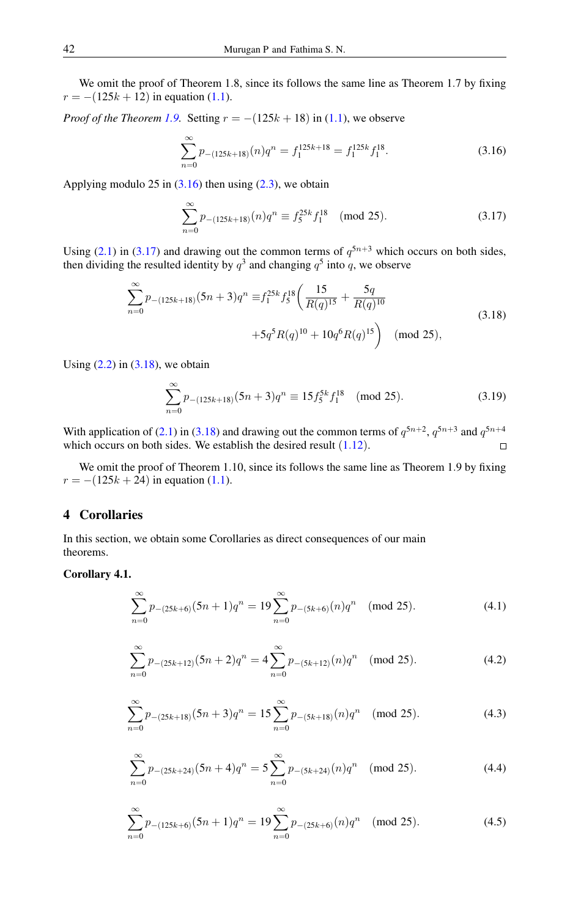We omit the proof of Theorem 1.8, since its follows the same line as Theorem 1.7 by fixing  $r = -(125k + 12)$  in equation [\(1.1\)](#page-0-0).

*Proof of the Theorem [1.9.](#page-1-7)* Setting  $r = -(125k + 18)$  in [\(1.1\)](#page-0-0), we observe

<span id="page-4-0"></span>
$$
\sum_{n=0}^{\infty} p_{-(125k+18)}(n)q^n = f_1^{125k+18} = f_1^{125k} f_1^{18}.
$$
 (3.16)

Applying modulo 25 in  $(3.16)$  then using  $(2.3)$ , we obtain

<span id="page-4-2"></span><span id="page-4-1"></span>
$$
\sum_{n=0}^{\infty} p_{-(125k+18)}(n)q^n \equiv f_5^{25k} f_1^{18} \pmod{25}.
$$
 (3.17)

Using [\(2.1\)](#page-2-2) in [\(3.17\)](#page-4-1) and drawing out the common terms of  $q^{5n+3}$  which occurs on both sides, then dividing the resulted identity by  $q^3$  and changing  $q^5$  into q, we observe

$$
\sum_{n=0}^{\infty} p_{-(125k+18)}(5n+3)q^n \equiv f_1^{25k} f_5^{18} \left( \frac{15}{R(q)^{15}} + \frac{5q}{R(q)^{10}} + 5q^5 R(q)^{10} + 10q^6 R(q)^{15} \right) \pmod{25},
$$
\n(3.18)

Using  $(2.2)$  in  $(3.18)$ , we obtain

$$
\sum_{n=0}^{\infty} p_{-(125k+18)}(5n+3)q^n \equiv 15f_5^{5k}f_1^{18} \pmod{25}.
$$
 (3.19)

With application of [\(2.1\)](#page-2-2) in [\(3.18\)](#page-4-2) and drawing out the common terms of  $q^{5n+2}$ ,  $q^{5n+3}$  and  $q^{5n+4}$ which occurs on both sides. We establish the desired result  $(1.12)$  $(1.12)$  $(1.12)$ .  $\Box$ 

We omit the proof of Theorem 1.10, since its follows the same line as Theorem 1.9 by fixing  $r = -(125k + 24)$  in equation [\(1.1\)](#page-0-0).

# 4 Corollaries

In this section, we obtain some Corollaries as direct consequences of our main theorems.

#### Corollary 4.1.

<span id="page-4-3"></span>
$$
\sum_{n=0}^{\infty} p_{-(25k+6)}(5n+1)q^n = 19 \sum_{n=0}^{\infty} p_{-(5k+6)}(n)q^n \pmod{25}.
$$
 (4.1)

<span id="page-4-4"></span>
$$
\sum_{n=0}^{\infty} p_{-(25k+12)}(5n+2)q^n = 4\sum_{n=0}^{\infty} p_{-(5k+12)}(n)q^n \pmod{25}.
$$
 (4.2)

$$
\sum_{n=0}^{\infty} p_{-(25k+18)}(5n+3)q^n = 15 \sum_{n=0}^{\infty} p_{-(5k+18)}(n)q^n \pmod{25}.
$$
 (4.3)

<span id="page-4-5"></span>
$$
\sum_{n=0}^{\infty} p_{-(25k+24)}(5n+4)q^n = 5\sum_{n=0}^{\infty} p_{-(5k+24)}(n)q^n \pmod{25}.
$$
 (4.4)

<span id="page-4-6"></span>
$$
\sum_{n=0}^{\infty} p_{-(125k+6)}(5n+1)q^n = 19 \sum_{n=0}^{\infty} p_{-(25k+6)}(n)q^n \pmod{25}.
$$
 (4.5)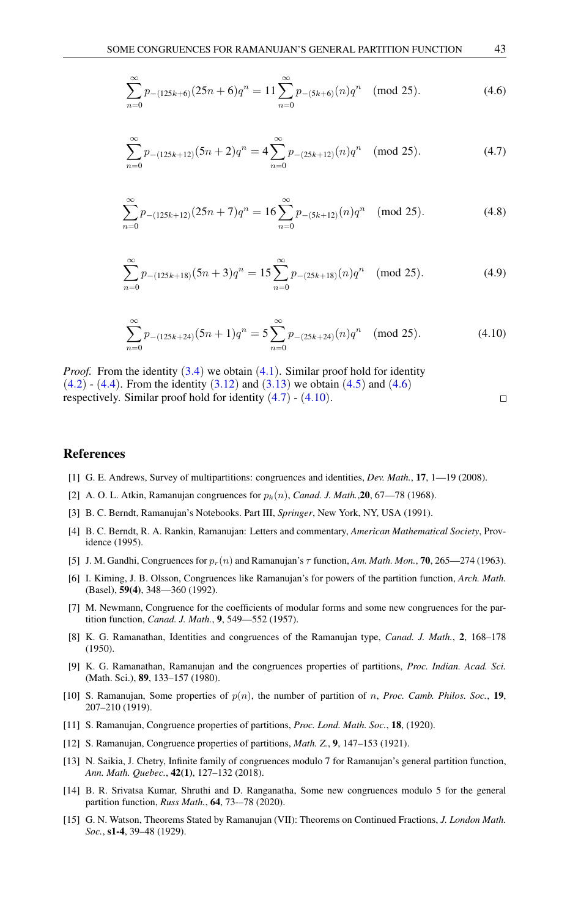<span id="page-5-14"></span>
$$
\sum_{n=0}^{\infty} p_{-(125k+6)}(25n+6)q^n = 11 \sum_{n=0}^{\infty} p_{-(5k+6)}(n)q^n \pmod{25}.
$$
 (4.6)

<span id="page-5-15"></span>
$$
\sum_{n=0}^{\infty} p_{-(125k+12)}(5n+2)q^n = 4\sum_{n=0}^{\infty} p_{-(25k+12)}(n)q^n \pmod{25}.
$$
 (4.7)

$$
\sum_{n=0}^{\infty} p_{-(125k+12)}(25n+7)q^n = 16 \sum_{n=0}^{\infty} p_{-(5k+12)}(n)q^n \pmod{25}.
$$
 (4.8)

$$
\sum_{n=0}^{\infty} p_{-(125k+18)}(5n+3)q^n = 15 \sum_{n=0}^{\infty} p_{-(25k+18)}(n)q^n \pmod{25}.
$$
 (4.9)

<span id="page-5-16"></span>
$$
\sum_{n=0}^{\infty} p_{-(125k+24)}(5n+1)q^n = 5\sum_{n=0}^{\infty} p_{-(25k+24)}(n)q^n \pmod{25}.
$$
 (4.10)

*Proof.* From the identity  $(3.4)$  $(3.4)$  $(3.4)$  $(3.4)$  $(3.4)$  we obtain  $(4.1)$ . Similar proof hold for identity  $(4.2) - (4.4)$  $(4.2) - (4.4)$  $(4.2) - (4.4)$ . From the identity  $(3.12)$  $(3.12)$  $(3.12)$  and  $(3.13)$  $(3.13)$  $(3.13)$  we obtain  $(4.5)$  and  $(4.6)$ respectively. Similar proof hold for identity ([4](#page-5-15).7) - (4.[10](#page-5-16)).

# <span id="page-5-0"></span>References

- <span id="page-5-8"></span>[1] G. E. Andrews, Survey of multipartitions: congruences and identities, *Dev. Math.*, 17, 1—19 (2008).
- <span id="page-5-7"></span>[2] A. O. L. Atkin, Ramanujan congruences for  $p_k(n)$ , *Canad. J. Math.*, **20**, 67—78 (1968).
- <span id="page-5-1"></span>[3] B. C. Berndt, Ramanujan's Notebooks. Part III, *Springer*, New York, NY, USA (1991).
- <span id="page-5-2"></span>[4] B. C. Berndt, R. A. Rankin, Ramanujan: Letters and commentary, *American Mathematical Society*, Providence (1995).
- <span id="page-5-9"></span>[5] J. M. Gandhi, Congruences for  $p_r(n)$  and Ramanujan's  $\tau$  function, *Am. Math. Mon.*, **70**, 265—274 (1963).
- <span id="page-5-10"></span>[6] I. Kiming, J. B. Olsson, Congruences like Ramanujan's for powers of the partition function, *Arch. Math.* (Basel), 59(4), 348—360 (1992).
- <span id="page-5-5"></span>[7] M. Newmann, Congruence for the coefficients of modular forms and some new congruences for the partition function, *Canad. J. Math.*, 9, 549—552 (1957).
- <span id="page-5-6"></span>[8] K. G. Ramanathan, Identities and congruences of the Ramanujan type, *Canad. J. Math.*, 2, 168–178 (1950).
- <span id="page-5-3"></span>[9] K. G. Ramanathan, Ramanujan and the congruences properties of partitions, *Proc. Indian. Acad. Sci.* (Math. Sci.), 89, 133–157 (1980).
- [10] S. Ramanujan, Some properties of  $p(n)$ , the number of partition of n, *Proc. Camb. Philos. Soc.*, 19, 207–210 (1919).
- <span id="page-5-4"></span>[11] S. Ramanujan, Congruence properties of partitions, *Proc. Lond. Math. Soc.*, 18, (1920).
- [12] S. Ramanujan, Congruence properties of partitions, *Math. Z.*, 9, 147–153 (1921).
- <span id="page-5-11"></span>[13] N. Saikia, J. Chetry, Infinite family of congruences modulo 7 for Ramanujan's general partition function, *Ann. Math. Quebec.*, 42(1), 127–132 (2018).
- <span id="page-5-12"></span>[14] B. R. Srivatsa Kumar, Shruthi and D. Ranganatha, Some new congruences modulo 5 for the general partition function, *Russ Math.*, 64, 73-–78 (2020).
- <span id="page-5-13"></span>[15] G. N. Watson, Theorems Stated by Ramanujan (VII): Theorems on Continued Fractions, *J. London Math. Soc.*, s1-4, 39–48 (1929).

 $\Box$